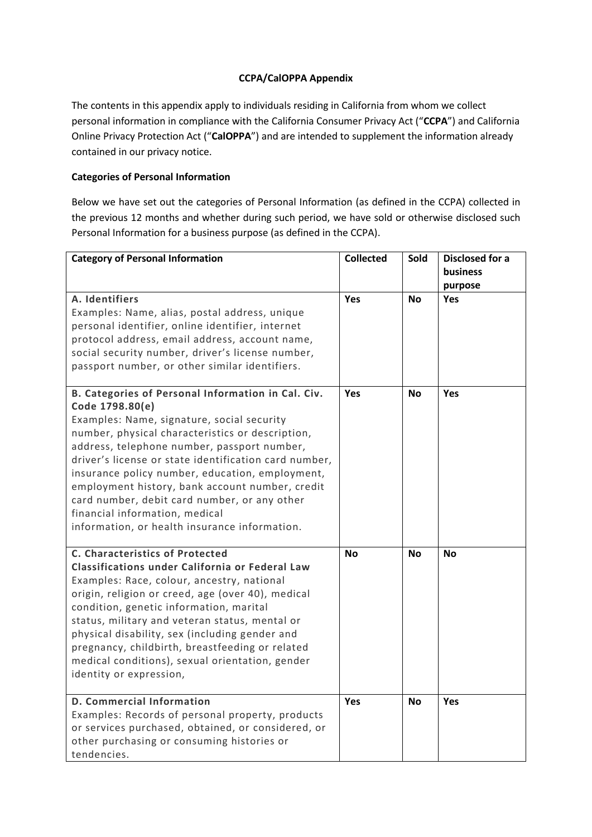# **CCPA/CalOPPA Appendix**

The contents in this appendix apply to individuals residing in California from whom we collect personal information in compliance with the California Consumer Privacy Act ("**CCPA**") and California Online Privacy Protection Act ("**CalOPPA**") and are intended to supplement the information already contained in our privacy notice.

# **Categories of Personal Information**

Below we have set out the categories of Personal Information (as defined in the CCPA) collected in the previous 12 months and whether during such period, we have sold or otherwise disclosed such Personal Information for a business purpose (as defined in the CCPA).

| <b>Category of Personal Information</b>                                                                                                                                                                                                                                                                                                                                                                                                                                                                                  | <b>Collected</b> | Sold      | <b>Disclosed for a</b><br><b>business</b><br>purpose |
|--------------------------------------------------------------------------------------------------------------------------------------------------------------------------------------------------------------------------------------------------------------------------------------------------------------------------------------------------------------------------------------------------------------------------------------------------------------------------------------------------------------------------|------------------|-----------|------------------------------------------------------|
| A. Identifiers<br>Examples: Name, alias, postal address, unique<br>personal identifier, online identifier, internet<br>protocol address, email address, account name,<br>social security number, driver's license number,<br>passport number, or other similar identifiers.                                                                                                                                                                                                                                              | <b>Yes</b>       | <b>No</b> | <b>Yes</b>                                           |
| B. Categories of Personal Information in Cal. Civ.<br>Code 1798.80(e)<br>Examples: Name, signature, social security<br>number, physical characteristics or description,<br>address, telephone number, passport number,<br>driver's license or state identification card number,<br>insurance policy number, education, employment,<br>employment history, bank account number, credit<br>card number, debit card number, or any other<br>financial information, medical<br>information, or health insurance information. | <b>Yes</b>       | <b>No</b> | <b>Yes</b>                                           |
| C. Characteristics of Protected<br>Classifications under California or Federal Law<br>Examples: Race, colour, ancestry, national<br>origin, religion or creed, age (over 40), medical<br>condition, genetic information, marital<br>status, military and veteran status, mental or<br>physical disability, sex (including gender and<br>pregnancy, childbirth, breastfeeding or related<br>medical conditions), sexual orientation, gender<br>identity or expression,                                                    | <b>No</b>        | <b>No</b> | <b>No</b>                                            |
| <b>D. Commercial Information</b><br>Examples: Records of personal property, products<br>or services purchased, obtained, or considered, or<br>other purchasing or consuming histories or<br>tendencies.                                                                                                                                                                                                                                                                                                                  | Yes              | <b>No</b> | Yes                                                  |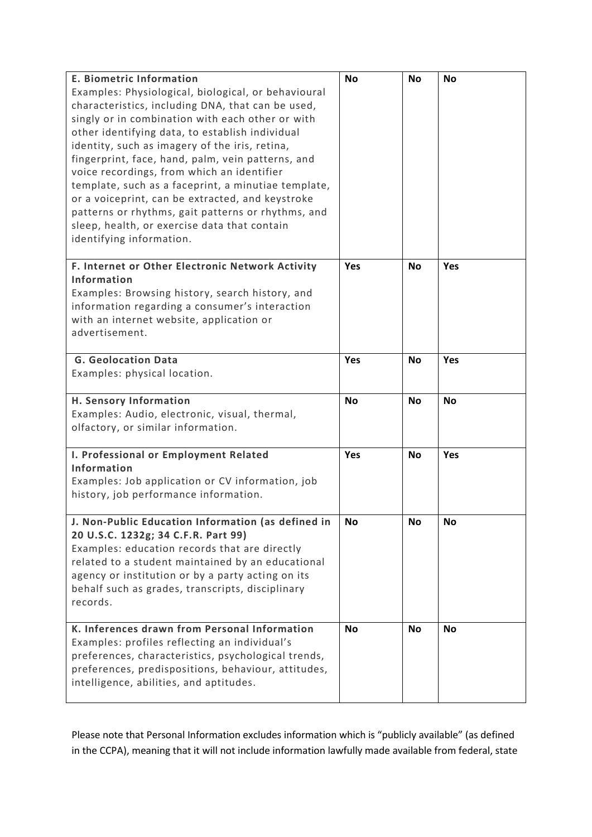| <b>E. Biometric Information</b>                     | <b>No</b> | <b>No</b> | <b>No</b> |
|-----------------------------------------------------|-----------|-----------|-----------|
| Examples: Physiological, biological, or behavioural |           |           |           |
| characteristics, including DNA, that can be used,   |           |           |           |
| singly or in combination with each other or with    |           |           |           |
| other identifying data, to establish individual     |           |           |           |
| identity, such as imagery of the iris, retina,      |           |           |           |
| fingerprint, face, hand, palm, vein patterns, and   |           |           |           |
| voice recordings, from which an identifier          |           |           |           |
| template, such as a faceprint, a minutiae template, |           |           |           |
| or a voiceprint, can be extracted, and keystroke    |           |           |           |
| patterns or rhythms, gait patterns or rhythms, and  |           |           |           |
|                                                     |           |           |           |
| sleep, health, or exercise data that contain        |           |           |           |
| identifying information.                            |           |           |           |
| F. Internet or Other Electronic Network Activity    | Yes       | No        | Yes       |
| Information                                         |           |           |           |
|                                                     |           |           |           |
| Examples: Browsing history, search history, and     |           |           |           |
| information regarding a consumer's interaction      |           |           |           |
| with an internet website, application or            |           |           |           |
| advertisement.                                      |           |           |           |
|                                                     |           |           |           |
| <b>G. Geolocation Data</b>                          | Yes       | No        | Yes       |
| Examples: physical location.                        |           |           |           |
| H. Sensory Information                              | No        | <b>No</b> | <b>No</b> |
| Examples: Audio, electronic, visual, thermal,       |           |           |           |
| olfactory, or similar information.                  |           |           |           |
|                                                     |           |           |           |
| I. Professional or Employment Related               | Yes       | <b>No</b> | Yes       |
| Information                                         |           |           |           |
| Examples: Job application or CV information, job    |           |           |           |
| history, job performance information.               |           |           |           |
|                                                     |           |           |           |
| J. Non-Public Education Information (as defined in  | <b>No</b> | No        | No        |
| 20 U.S.C. 1232g; 34 C.F.R. Part 99)                 |           |           |           |
| Examples: education records that are directly       |           |           |           |
| related to a student maintained by an educational   |           |           |           |
| agency or institution or by a party acting on its   |           |           |           |
| behalf such as grades, transcripts, disciplinary    |           |           |           |
| records.                                            |           |           |           |
|                                                     |           |           |           |
| K. Inferences drawn from Personal Information       | <b>No</b> | <b>No</b> | <b>No</b> |
| Examples: profiles reflecting an individual's       |           |           |           |
| preferences, characteristics, psychological trends, |           |           |           |
| preferences, predispositions, behaviour, attitudes, |           |           |           |
| intelligence, abilities, and aptitudes.             |           |           |           |
|                                                     |           |           |           |
|                                                     |           |           |           |

Please note that Personal Information excludes information which is "publicly available" (as defined in the CCPA), meaning that it will not include information lawfully made available from federal, state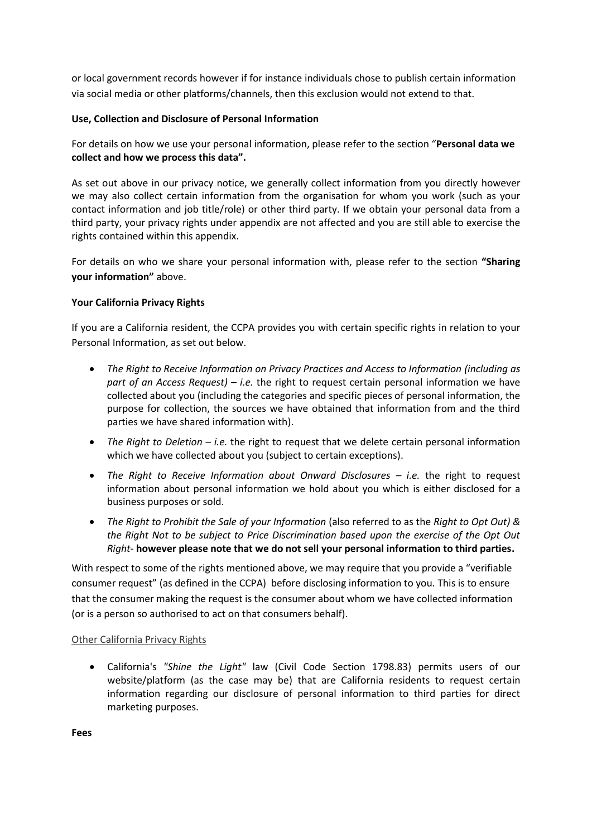or local government records however if for instance individuals chose to publish certain information via social media or other platforms/channels, then this exclusion would not extend to that.

### **Use, Collection and Disclosure of Personal Information**

For details on how we use your personal information, please refer to the section "**Personal data we collect and how we process this data".**

As set out above in our privacy notice, we generally collect information from you directly however we may also collect certain information from the organisation for whom you work (such as your contact information and job title/role) or other third party. If we obtain your personal data from a third party, your privacy rights under appendix are not affected and you are still able to exercise the rights contained within this appendix.

For details on who we share your personal information with, please refer to the section **"Sharing your information"** above.

## **Your California Privacy Rights**

If you are a California resident, the CCPA provides you with certain specific rights in relation to your Personal Information, as set out below.

- *The Right to Receive Information on Privacy Practices and Access to Information (including as part of an Access Request) – i.e.* the right to request certain personal information we have collected about you (including the categories and specific pieces of personal information, the purpose for collection, the sources we have obtained that information from and the third parties we have shared information with).
- *The Right to Deletion – i.e.* the right to request that we delete certain personal information which we have collected about you (subject to certain exceptions).
- *The Right to Receive Information about Onward Disclosures – i.e.* the right to request information about personal information we hold about you which is either disclosed for a business purposes or sold.
- *The Right to Prohibit the Sale of your Information* (also referred to as the *Right to Opt Out) & the Right Not to be subject to Price Discrimination based upon the exercise of the Opt Out Right-* **however please note that we do not sell your personal information to third parties.**

With respect to some of the rights mentioned above, we may require that you provide a "verifiable consumer request" (as defined in the CCPA) before disclosing information to you. This is to ensure that the consumer making the request is the consumer about whom we have collected information (or is a person so authorised to act on that consumers behalf).

### Other California Privacy Rights

 California's *"Shine the Light"* law (Civil Code Section 1798.83) permits users of our website/platform (as the case may be) that are California residents to request certain information regarding our disclosure of personal information to third parties for direct marketing purposes.

**Fees**